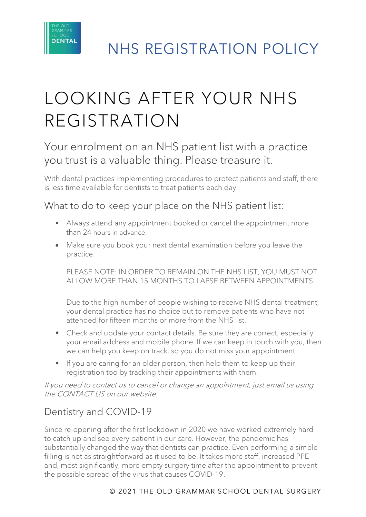

# LOOKING AFTER YOUR NHS REGISTRATION

Your enrolment on an NHS patient list with a practice you trust is a valuable thing. Please treasure it.

With dental practices implementing procedures to protect patients and staff, there is less time available for dentists to treat patients each day.

What to do to keep your place on the NHS patient list:

- Always attend any appointment booked or cancel the appointment more than 24 hours in advance.
- Make sure you book your next dental examination before you leave the practice.

PLEASE NOTE: IN ORDER TO REMAIN ON THE NHS LIST, YOU MUST NOT ALLOW MORE THAN 15 MONTHS TO LAPSE BETWEEN APPOINTMENTS.

Due to the high number of people wishing to receive NHS dental treatment, your dental practice has no choice but to remove patients who have not attended for fifteen months or more from the NHS list.

- Check and update your contact details. Be sure they are correct, especially your email address and mobile phone. If we can keep in touch with you, then we can help you keep on track, so you do not miss your appointment.
- If you are caring for an older person, then help them to keep up their registration too by tracking their appointments with them.

If you need to contact us to cancel or change an appointment, just email us using the CONTACT US on our website.

### Dentistry and COVID-19

Since re-opening after the first lockdown in 2020 we have worked extremely hard to catch up and see every patient in our care. However, the pandemic has substantially changed the way that dentists can practice. Even performing a simple filling is not as straightforward as it used to be. It takes more staff, increased PPE and, most significantly, more empty surgery time after the appointment to prevent the possible spread of the virus that causes COVID-19.